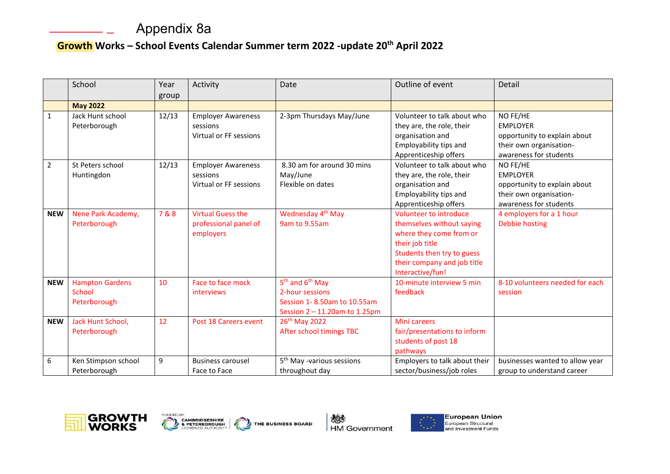## Appendix 8a

## **Growth Works – School Events Calendar Summer term 2022 -update 20th April 2022**

|                | School                                           | Year<br>group | Activity                                                        | Date                                                                                                                       | Outline of event                                                                                                                                                                   | Detail                                                                                                           |
|----------------|--------------------------------------------------|---------------|-----------------------------------------------------------------|----------------------------------------------------------------------------------------------------------------------------|------------------------------------------------------------------------------------------------------------------------------------------------------------------------------------|------------------------------------------------------------------------------------------------------------------|
|                | <b>May 2022</b>                                  |               |                                                                 |                                                                                                                            |                                                                                                                                                                                    |                                                                                                                  |
| $\mathbf{1}$   | Jack Hunt school<br>Peterborough                 | 12/13         | <b>Employer Awareness</b><br>sessions<br>Virtual or FF sessions | 2-3pm Thursdays May/June                                                                                                   | Volunteer to talk about who<br>they are, the role, their<br>organisation and<br>Employability tips and<br>Apprenticeship offers                                                    | NO FE/HE<br><b>EMPLOYER</b><br>opportunity to explain about<br>their own organisation-<br>awareness for students |
| $\overline{2}$ | St Peters school<br>Huntingdon                   | 12/13         | <b>Employer Awareness</b><br>sessions<br>Virtual or FF sessions | 8.30 am for around 30 mins<br>May/June<br>Flexible on dates                                                                | Volunteer to talk about who<br>they are, the role, their<br>organisation and<br>Employability tips and<br>Apprenticeship offers                                                    | NO FE/HE<br><b>EMPLOYER</b><br>opportunity to explain about<br>their own organisation-<br>awareness for students |
| <b>NEW</b>     | Nene Park Academy,<br>Peterborough               | 7&8           | <b>Virtual Guess the</b><br>professional panel of<br>employers  | Wednesday 4 <sup>th</sup> May<br>9am to 9.55am                                                                             | Volunteer to introduce<br>themselves without saying<br>where they come from or<br>their job title<br>Students then try to guess<br>their company and job title<br>Interactive/fun! | 4 employers for a 1 hour<br><b>Debbie hosting</b>                                                                |
| <b>NEW</b>     | <b>Hampton Gardens</b><br>School<br>Peterborough | 10            | Face to face mock<br>interviews                                 | 5 <sup>th</sup> and 6 <sup>th</sup> May<br>2-hour sessions<br>Session 1-8.50am to 10.55am<br>Session 2 - 11.20am to 1.25pm | 10-minute interview 5 min<br>feedback                                                                                                                                              | 8-10 volunteers needed for each<br>session                                                                       |
| <b>NEW</b>     | Jack Hunt School,<br>Peterborough                | 12            | Post 18 Careers event                                           | 26th May 2022<br>After school timings TBC                                                                                  | <b>Mini careers</b><br>fair/presentations to inform<br>students of post 18<br>pathways                                                                                             |                                                                                                                  |
| 6              | Ken Stimpson school<br>Peterborough              | 9             | <b>Business carousel</b><br>Face to Face                        | 5 <sup>th</sup> May -various sessions<br>throughout day                                                                    | Employers to talk about their<br>sector/business/job roles                                                                                                                         | businesses wanted to allow year<br>group to understand career                                                    |





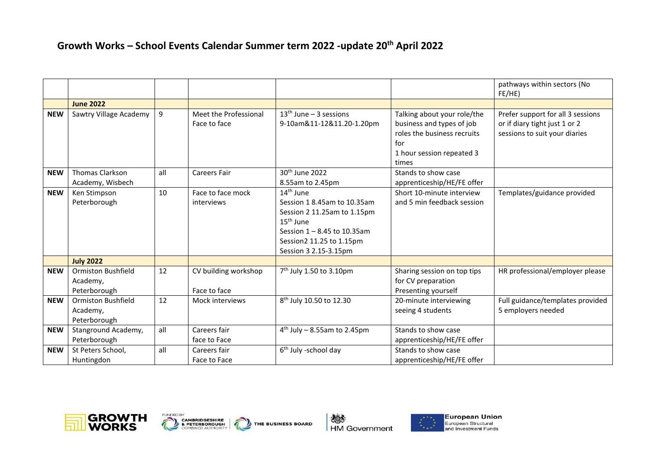## **Growth Works – School Events Calendar Summer term 2022 -update 20th April 2022**

|            |                                                       |     |                                       |                                                                                                                                                                                                 |                                                                                                                                      | pathways within sectors (No<br>FE/HE)                                                               |
|------------|-------------------------------------------------------|-----|---------------------------------------|-------------------------------------------------------------------------------------------------------------------------------------------------------------------------------------------------|--------------------------------------------------------------------------------------------------------------------------------------|-----------------------------------------------------------------------------------------------------|
|            | <b>June 2022</b>                                      |     |                                       |                                                                                                                                                                                                 |                                                                                                                                      |                                                                                                     |
| <b>NEW</b> | Sawtry Village Academy                                | 9   | Meet the Professional<br>Face to face | $13th$ June – 3 sessions<br>9-10am&11-12&11.20-1.20pm                                                                                                                                           | Talking about your role/the<br>business and types of job<br>roles the business recruits<br>for<br>1 hour session repeated 3<br>times | Prefer support for all 3 sessions<br>or if diary tight just 1 or 2<br>sessions to suit your diaries |
| <b>NEW</b> | <b>Thomas Clarkson</b><br>Academy, Wisbech            | all | <b>Careers Fair</b>                   | 30 <sup>th</sup> June 2022<br>8.55am to 2.45pm                                                                                                                                                  | Stands to show case<br>apprenticeship/HE/FE offer                                                                                    |                                                                                                     |
| <b>NEW</b> | Ken Stimpson<br>Peterborough                          | 10  | Face to face mock<br>interviews       | 14 <sup>th</sup> June<br>Session 18.45am to 10.35am<br>Session 2 11.25am to 1.15pm<br>15 <sup>th</sup> June<br>Session 1 - 8.45 to 10.35am<br>Session2 11.25 to 1.15pm<br>Session 3 2.15-3.15pm | Short 10-minute interview<br>and 5 min feedback session                                                                              | Templates/guidance provided                                                                         |
|            | <b>July 2022</b>                                      |     |                                       |                                                                                                                                                                                                 |                                                                                                                                      |                                                                                                     |
| <b>NEW</b> | <b>Ormiston Bushfield</b><br>Academy,<br>Peterborough | 12  | CV building workshop<br>Face to face  | $7th$ July 1.50 to 3.10pm                                                                                                                                                                       | Sharing session on top tips<br>for CV preparation<br>Presenting yourself                                                             | HR professional/employer please                                                                     |
| <b>NEW</b> | <b>Ormiston Bushfield</b><br>Academy,<br>Peterborough | 12  | Mock interviews                       | 8 <sup>th</sup> July 10.50 to 12.30                                                                                                                                                             | 20-minute interviewing<br>seeing 4 students                                                                                          | Full guidance/templates provided<br>5 employers needed                                              |
| <b>NEW</b> | Stanground Academy,<br>Peterborough                   | all | Careers fair<br>face to Face          | $4th$ July - 8.55am to 2.45pm                                                                                                                                                                   | Stands to show case<br>apprenticeship/HE/FE offer                                                                                    |                                                                                                     |
| <b>NEW</b> | St Peters School,<br>Huntingdon                       | all | Careers fair<br>Face to Face          | 6 <sup>th</sup> July -school day                                                                                                                                                                | Stands to show case<br>apprenticeship/HE/FE offer                                                                                    |                                                                                                     |